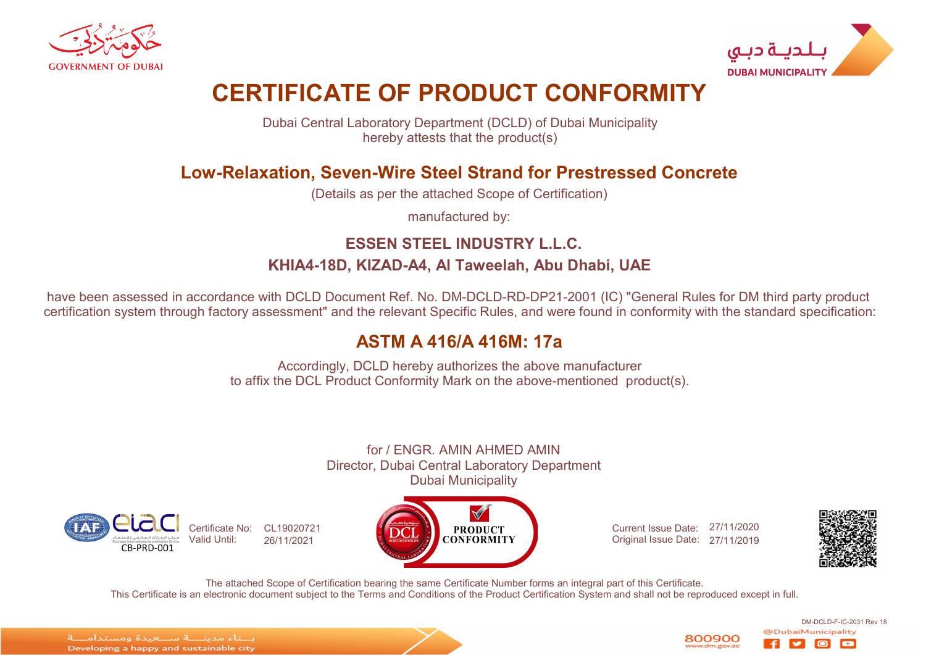



# CERTIFICATE OF PRODUCT CONFORMITY

Dubai Central Laboratory Department (DCLD) of Dubai Municipality hereby attests that the product(s)

### Low-Relaxation, Seven-Wire Steel Strand for Prestressed Concrete

(Details as per the attached Scope of Certification)

manufactured by:

### ESSEN STEEL INDUSTRY L.L.C. KHIA4-18D, KIZAD-A4, Al Taweelah, Abu Dhabi, UAE

have been assessed in accordance with DCLD Document Ref. No. DM-DCLD-RD-DP21-2001 (IC) "General Rules for DM third party product certification system through factory assessment" and the relevant Specific Rules, and were found in conformity with the standard specification:

## ASTM A 416/A 416M: 17a

Accordingly, DCLD hereby authorizes the above manufacturer to affix the DCL Product Conformity Mark on the above-mentioned product(s).

for / ENGR. AMIN AHMED AMIN Director, Dubai Central Laboratory Department Dubai Municipality





Current Issue Date: 27/11/2020 Original Issue Date: 27/11/2019



DM-DCLD-F-IC-2031 Rev 18

lo

The attached Scope of Certification bearing the same Certificate Number forms an integral part of this Certificate. This Certificate is an electronic document subject to the Terms and Conditions of the Product Certification System and shall not be reproduced except in full.

الماء مدبنا فاستعبدة ومستداماتة Developing a happy and sustainable city